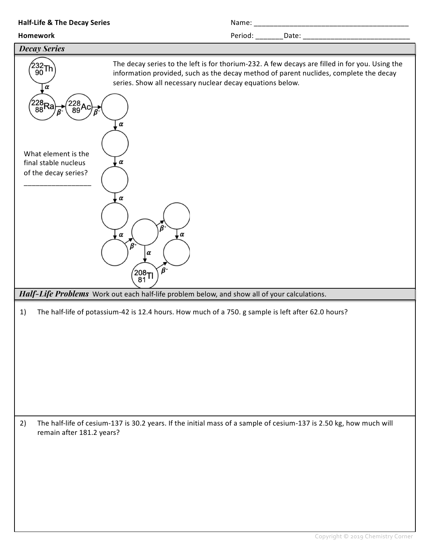| <b>Half-Life &amp; The Decay Series</b>                                                                                     |                                                                                                                                                                      |                                                                                                |
|-----------------------------------------------------------------------------------------------------------------------------|----------------------------------------------------------------------------------------------------------------------------------------------------------------------|------------------------------------------------------------------------------------------------|
| <b>Homework</b>                                                                                                             |                                                                                                                                                                      |                                                                                                |
| <b>Decay Series</b>                                                                                                         |                                                                                                                                                                      |                                                                                                |
| $^{\prime\prime}_{90}$ Th<br>α<br>$\begin{pmatrix} 228 \\ 88 \text{Ra} \end{pmatrix}$<br>$\binom{228}{89}$ Ac)<br>$\vec{B}$ | information provided, such as the decay method of parent nuclides, complete the decay<br>series. Show all necessary nuclear decay equations below.<br>$\pmb{\alpha}$ | The decay series to the left is for thorium-232. A few decays are filled in for you. Using the |
| What element is the<br>final stable nucleus<br>of the decay series?                                                         | $\pmb{\alpha}$<br>$\pmb{\alpha}$<br>$\alpha$<br>, α<br>ß                                                                                                             |                                                                                                |
|                                                                                                                             | α<br>$\beta$ -<br>$^{^\prime\!208}$ Tl                                                                                                                               |                                                                                                |
|                                                                                                                             | Half-Life Problems Work out each half-life problem below, and show all of your calculations.                                                                         |                                                                                                |
| 1)                                                                                                                          | The half-life of potassium-42 is 12.4 hours. How much of a 750. g sample is left after 62.0 hours?                                                                   |                                                                                                |
| 2)<br>remain after 181.2 years?                                                                                             | The half-life of cesium-137 is 30.2 years. If the initial mass of a sample of cesium-137 is 2.50 kg, how much will                                                   |                                                                                                |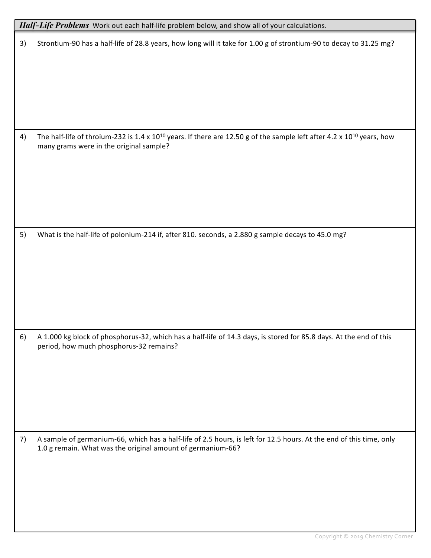| Half-Life Problems Work out each half-life problem below, and show all of your calculations. |                                                                                                                                                                                          |  |  |
|----------------------------------------------------------------------------------------------|------------------------------------------------------------------------------------------------------------------------------------------------------------------------------------------|--|--|
| 3)                                                                                           | Strontium-90 has a half-life of 28.8 years, how long will it take for 1.00 g of strontium-90 to decay to 31.25 mg?                                                                       |  |  |
|                                                                                              |                                                                                                                                                                                          |  |  |
|                                                                                              |                                                                                                                                                                                          |  |  |
|                                                                                              |                                                                                                                                                                                          |  |  |
|                                                                                              |                                                                                                                                                                                          |  |  |
| 4)                                                                                           | The half-life of throium-232 is 1.4 x 10 <sup>10</sup> years. If there are 12.50 g of the sample left after 4.2 x 10 <sup>10</sup> years, how<br>many grams were in the original sample? |  |  |
|                                                                                              |                                                                                                                                                                                          |  |  |
|                                                                                              |                                                                                                                                                                                          |  |  |
|                                                                                              |                                                                                                                                                                                          |  |  |
|                                                                                              |                                                                                                                                                                                          |  |  |
| 5)                                                                                           | What is the half-life of polonium-214 if, after 810. seconds, a 2.880 g sample decays to 45.0 mg?                                                                                        |  |  |
|                                                                                              |                                                                                                                                                                                          |  |  |
|                                                                                              |                                                                                                                                                                                          |  |  |
|                                                                                              |                                                                                                                                                                                          |  |  |
|                                                                                              |                                                                                                                                                                                          |  |  |
| 6)                                                                                           | A 1.000 kg block of phosphorus-32, which has a half-life of 14.3 days, is stored for 85.8 days. At the end of this<br>period, how much phosphorus-32 remains?                            |  |  |
|                                                                                              |                                                                                                                                                                                          |  |  |
|                                                                                              |                                                                                                                                                                                          |  |  |
|                                                                                              |                                                                                                                                                                                          |  |  |
|                                                                                              |                                                                                                                                                                                          |  |  |
| 7)                                                                                           | A sample of germanium-66, which has a half-life of 2.5 hours, is left for 12.5 hours. At the end of this time, only<br>1.0 g remain. What was the original amount of germanium-66?       |  |  |
|                                                                                              |                                                                                                                                                                                          |  |  |
|                                                                                              |                                                                                                                                                                                          |  |  |
|                                                                                              |                                                                                                                                                                                          |  |  |
|                                                                                              |                                                                                                                                                                                          |  |  |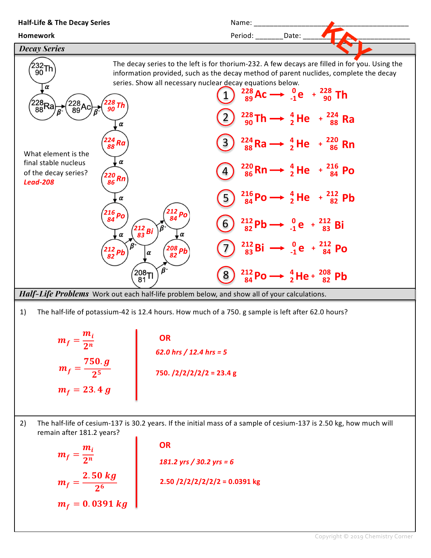